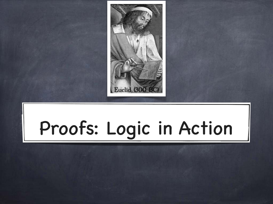

# Proofs: Logic in Action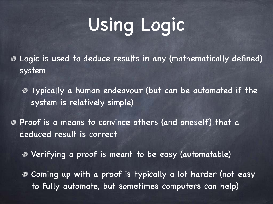# Using Logic

Logic is used to deduce results in any (mathematically defined) ◈ system

Typically a human endeavour (but can be automated if the system is relatively simple)

Proof is a means to convince others (and oneself) that a deduced result is correct

Verifying a proof is meant to be easy (automatable)

Coming up with a proof is typically a lot harder (not easy to fully automate, but sometimes computers can help)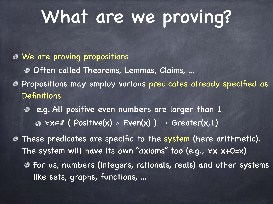#### What are we proving?

#### We are proving propositions Often called Theorems, Lemmas, Claims, ... Propositions may employ various predicates already specified as **Definitions**

 e.g. All positive even numbers are larger than 1  $\bullet$   $\forall x \in \mathbb{Z}$  ( Positive(x)  $\wedge$  Even(x) )  $\rightarrow$  Greater(x, 1)

These predicates are specific to the system (here arithmetic). The system will have its own "axioms" too (e.g.,  $\forall x$   $x+0=x$ ) For us, numbers (integers, rationals, reals) and other systems like sets, graphs, functions, ...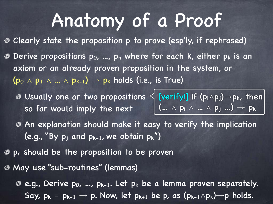#### Anatomy of a Proof

Clearly state the proposition p to prove (esp'ly, if rephrased) **O** Derive propositions p<sub>0</sub>, ..., p<sub>n</sub> where for each k, either p<sub>k</sub> is an axiom or an already proven proposition in the system, or  $(p_0 \wedge p_1 \wedge ... \wedge p_{k-1}) \rightarrow p_k$  holds (i.e., is True)

so far would imply the next  $\left| \begin{array}{l} (\ldots \wedge p_i \wedge ... \wedge p_j ...) \rightarrow p_k \end{array} \right|$ 

Usually one or two propositions  $\big\{$  [verify!] if (p $_1\wedge$ p $_j$ ) $\rightarrow$ p $_k$ , then $\big\vert$ 

- An explanation should make it easy to verify the implication (e.g., "By  $p_j$  and  $p_{k-1}$ , we obtain  $p_k$ ")
- $\bullet$  p<sub>n</sub> should be the proposition to be proven
- May use "sub-routines" (lemmas)
	- e.g., Derive p0, …, pk-1. Let pk be a lemma proven separately. Say,  $p_k = p_{k-1} \rightarrow p$ . Now, let  $p_{k+1}$  be p, as  $(p_{k-1} \wedge p_k) \rightarrow p$  holds.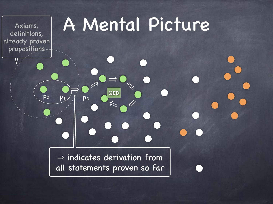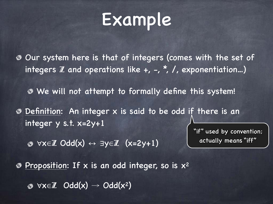#### Example

- Our system here is that of integers (comes with the set of integers  $\mathbb Z$  and operations like  $+$ ,  $-$ ,  $*$ ,  $/$ , exponentiation...)
	- We will not attempt to formally define this system!
- Definition: An integer x is said to be odd if there is an integer y s.t. x=2y+1

"if" used by convention;

actually means "iff"

⊗  $\forall x\in\mathbb{Z}$  Odd $(x) \leftrightarrow \exists y\in\mathbb{Z}$   $(x=2y+1)$ 

 $\bullet$  Proposition: If x is an odd integer, so is  $x^2$ 

 $\otimes$   $\forall x \in \mathbb{Z}$  Odd $(x) \rightarrow$  Odd $(x^2)$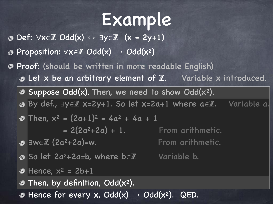### Example

- Def: ∀x∈Z Odd(x) ↔ ∃y∈Z (x = 2y+1)
- Proposition:  $\forall x \in \mathbb{Z}$  Odd(x)  $\rightarrow$  Odd(x<sup>2</sup>)
- Proof: (should be written in more readable English)  $\odot$  Let x be an arbitrary element of  $\mathbb{Z}$ . Variable x introduced.
	- $\bullet$  Suppose Odd(x). Then, we need to show Odd(x<sup>2</sup>).
	- By def., ∃y∈Z x=2y+1. So let x=2a+1 where a∈Z. Variable a.

$$
\bullet \text{ Then, } x^2 = (2a+1)^2 = 4a^2 + 4a + 1
$$

$$
= 2(2a^2+2a) + 1.
$$

∃w∈Z (2a2+2a)=w. From arithmetic.

- From arithmetic.
- So let 2a2+2a=b, where b∈Z Variable b.

 $\bullet$  Hence,  $x^2 = 2b+1$ 

Then, by definition, Odd(x2). ◈

Hence for every x,  $Odd(x) \rightarrow Odd(x^2)$ . QED. ◈